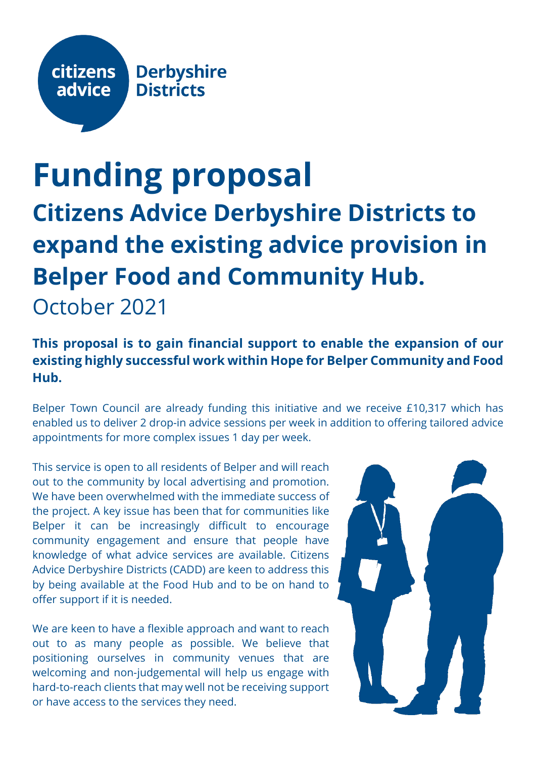

# **Funding proposal Citizens Advice Derbyshire Districts to expand the existing advice provision in Belper Food and Community Hub.**

October 2021

# **This proposal is to gain financial support to enable the expansion of our existing highly successful work within Hope for Belper Community and Food Hub.**

Belper Town Council are already funding this initiative and we receive £10,317 which has enabled us to deliver 2 drop-in advice sessions per week in addition to offering tailored advice appointments for more complex issues 1 day per week.

This service is open to all residents of Belper and will reach out to the community by local advertising and promotion. We have been overwhelmed with the immediate success of the project. A key issue has been that for communities like Belper it can be increasingly difficult to encourage community engagement and ensure that people have knowledge of what advice services are available. Citizens Advice Derbyshire Districts (CADD) are keen to address this by being available at the Food Hub and to be on hand to offer support if it is needed.

We are keen to have a flexible approach and want to reach out to as many people as possible. We believe that positioning ourselves in community venues that are welcoming and non-judgemental will help us engage with hard-to-reach clients that may well not be receiving support or have access to the services they need.

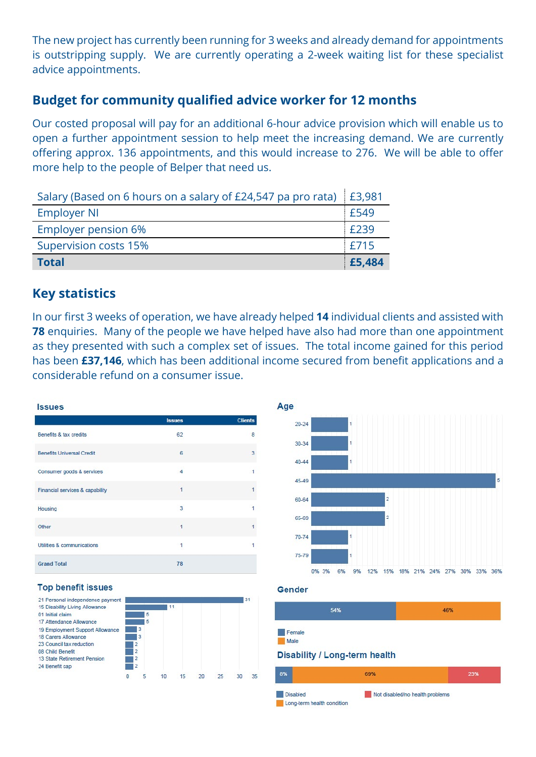The new project has currently been running for 3 weeks and already demand for appointments is outstripping supply. We are currently operating a 2-week waiting list for these specialist advice appointments.

## **Budget for community qualified advice worker for 12 months**

Our costed proposal will pay for an additional 6-hour advice provision which will enable us to open a further appointment session to help meet the increasing demand. We are currently offering approx. 136 appointments, and this would increase to 276. We will be able to offer more help to the people of Belper that need us.

| Salary (Based on 6 hours on a salary of £24,547 pa pro rata) £3,981 |        |
|---------------------------------------------------------------------|--------|
| <b>Employer NI</b>                                                  | £549   |
| <b>Employer pension 6%</b>                                          | £239   |
| <b>Supervision costs 15%</b>                                        | £715   |
| <b>Total</b>                                                        | £5,484 |

## **Key statistics**

In our first 3 weeks of operation, we have already helped **14** individual clients and assisted with **78** enquiries. Many of the people we have helped have also had more than one appointment as they presented with such a complex set of issues. The total income gained for this period has been **£37,146**, which has been additional income secured from benefit applications and a considerable refund on a consumer issue.

Age





#### **Top benefit issues**

| 21 Personal independence payment |                |   |    |    |    |    | 31 |
|----------------------------------|----------------|---|----|----|----|----|----|
| 15 Disability Living Allowance   |                |   | 11 |    |    |    |    |
| 01 Initial claim                 |                | 5 |    |    |    |    |    |
| 17 Attendance Allowance          |                | 5 |    |    |    |    |    |
| 19 Employment Support Allowance  |                | 3 |    |    |    |    |    |
| 18 Carers Allowance              |                | 3 |    |    |    |    |    |
| 23 Council tax reduction         |                | 2 |    |    |    |    |    |
| 08 Child Benefit                 |                | 2 |    |    |    |    |    |
| 13 State Retirement Pension      | 2              |   |    |    |    |    |    |
| 24 Benefit cap                   | $\overline{2}$ |   |    |    |    |    |    |
|                                  |                |   | 15 | 20 | 25 | 30 | 35 |

#### Gender

| 54%            | 46% |
|----------------|-----|
| Female<br>Male |     |
|                |     |

### **Disability / Long-term health**

| 8%                                            | 69%                             | 23% |
|-----------------------------------------------|---------------------------------|-----|
| <b>Disabled</b><br>Long-term health condition | Not disabled/no health problems |     |